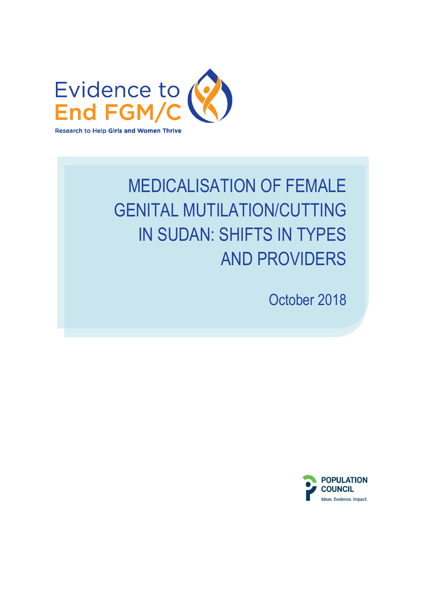

# MEDICALISATION OF FEMALE GENITAL MUTILATION/CUTTING IN SUDAN: SHIFTS IN TYPES AND PROVIDERS

October 2018

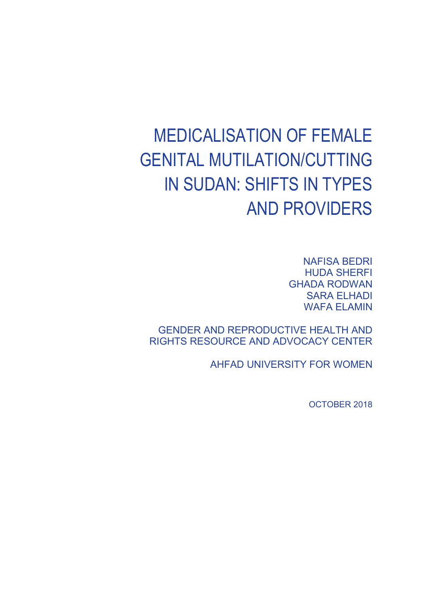# MEDICALISATION OF FEMALE GENITAL MUTILATION/CUTTING IN SUDAN: SHIFTS IN TYPES AND PROVIDERS

NAFISA BEDRI HUDA SHERFI GHADA RODWAN SARA ELHADI WAFA ELAMIN

GENDER AND REPRODUCTIVE HEALTH AND RIGHTS RESOURCE AND ADVOCACY CENTER

AHFAD UNIVERSITY FOR WOMEN

OCTOBER 2018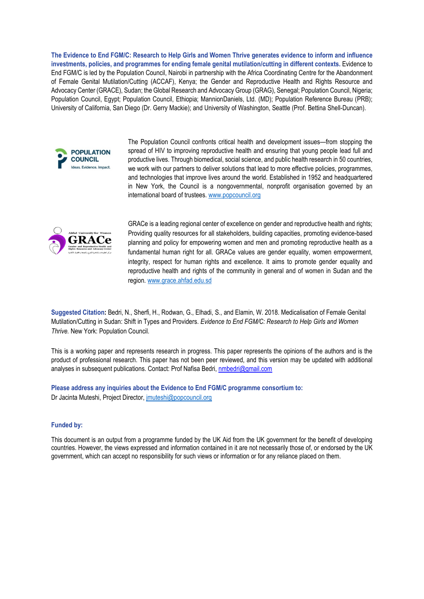**The Evidence to End FGM/C: Research to Help Girls and Women Thrive generates evidence to inform and influence investments, policies, and programmes for ending female genital mutilation/cutting in different contexts.** Evidence to End FGM/C is led by the Population Council, Nairobi in partnership with the Africa Coordinating Centre for the Abandonment of Female Genital Mutilation/Cutting (ACCAF), Kenya; the Gender and Reproductive Health and Rights Resource and Advocacy Center (GRACE), Sudan; the Global Research and Advocacy Group (GRAG), Senegal; Population Council, Nigeria; Population Council, Egypt; Population Council, Ethiopia; MannionDaniels, Ltd. (MD); Population Reference Bureau (PRB); University of California, San Diego (Dr. Gerry Mackie); and University of Washington, Seattle (Prof. Bettina Shell-Duncan).



The Population Council confronts critical health and development issues—from stopping the spread of HIV to improving reproductive health and ensuring that young people lead full and productive lives. Through biomedical, social science, and public health research in 50 countries, we work with our partners to deliver solutions that lead to more effective policies, programmes, and technologies that improve lives around the world. Established in 1952 and headquartered in New York, the Council is a nongovernmental, nonprofit organisation governed by an international board of trustees. [www.popcouncil.org](http://www.popcouncil.org/)



GRACe is a leading regional center of excellence on gender and reproductive health and rights; Providing quality resources for all stakeholders, building capacities, promoting evidence-based planning and policy for empowering women and men and promoting reproductive health as a fundamental human right for all. GRACe values are gender equality, women empowerment, integrity, respect for human rights and excellence. It aims to promote gender equality and reproductive health and rights of the community in general and of women in Sudan and the region. www.grace.ahfad.edu.sd

**Suggested Citation:** Bedri, N., Sherfi, H., Rodwan, G., Elhadi, S., and Elamin, W. 2018. Medicalisation of Female Genital Mutilation/Cutting in Sudan: Shift in Types and Providers. *Evidence to End FGM/C: Research to Help Girls and Women Thrive.* New York: Population Council.

This is a working paper and represents research in progress. This paper represents the opinions of the authors and is the product of professional research. This paper has not been peer reviewed, and this version may be updated with additional analyses in subsequent publications. Contact: Prof Nafisa Bedri, [nmbedri@gmail.com](mailto:nmbedri@gmail.com)

**Please address any inquiries about the Evidence to End FGM/C programme consortium to:**  Dr Jacinta Muteshi, Project Director[, jmuteshi@popcouncil.org](mailto:jmuteshi@popcouncil.org)

#### **Funded by:**

This document is an output from a programme funded by the UK Aid from the UK government for the benefit of developing countries. However, the views expressed and information contained in it are not necessarily those of, or endorsed by the UK government, which can accept no responsibility for such views or information or for any reliance placed on them.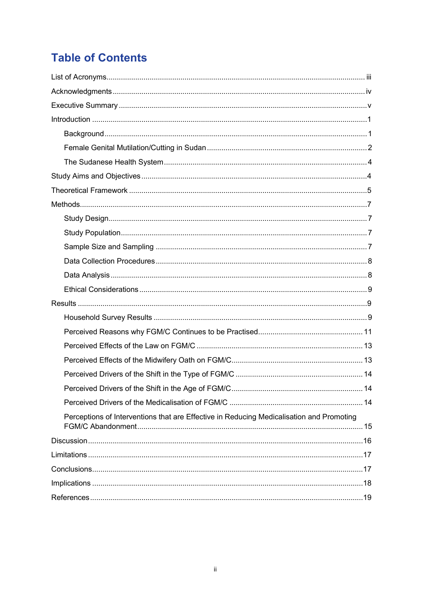# **Table of Contents**

| Perceptions of Interventions that are Effective in Reducing Medicalisation and Promoting |
|------------------------------------------------------------------------------------------|
|                                                                                          |
|                                                                                          |
|                                                                                          |
|                                                                                          |
|                                                                                          |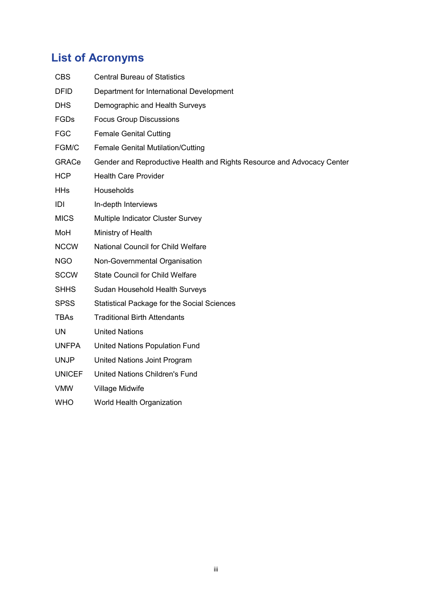# <span id="page-4-0"></span>**List of Acronyms**

| <b>CBS</b>    | <b>Central Bureau of Statistics</b>                                    |
|---------------|------------------------------------------------------------------------|
| <b>DFID</b>   | Department for International Development                               |
| <b>DHS</b>    | Demographic and Health Surveys                                         |
| FGDs          | <b>Focus Group Discussions</b>                                         |
| <b>FGC</b>    | <b>Female Genital Cutting</b>                                          |
| FGM/C         | <b>Female Genital Mutilation/Cutting</b>                               |
| <b>GRACe</b>  | Gender and Reproductive Health and Rights Resource and Advocacy Center |
| <b>HCP</b>    | <b>Health Care Provider</b>                                            |
| <b>HHs</b>    | Households                                                             |
| IDI           | In-depth Interviews                                                    |
| <b>MICS</b>   | Multiple Indicator Cluster Survey                                      |
| MoH           | Ministry of Health                                                     |
| <b>NCCW</b>   | National Council for Child Welfare                                     |
| <b>NGO</b>    | Non-Governmental Organisation                                          |
| <b>SCCW</b>   | <b>State Council for Child Welfare</b>                                 |
| <b>SHHS</b>   | Sudan Household Health Surveys                                         |
| <b>SPSS</b>   | <b>Statistical Package for the Social Sciences</b>                     |
| <b>TBAs</b>   | <b>Traditional Birth Attendants</b>                                    |
| <b>UN</b>     | <b>United Nations</b>                                                  |
| <b>UNFPA</b>  | United Nations Population Fund                                         |
| <b>UNJP</b>   | United Nations Joint Program                                           |
| <b>UNICEF</b> | United Nations Children's Fund                                         |
| <b>VMW</b>    | Village Midwife                                                        |
| <b>WHO</b>    | World Health Organization                                              |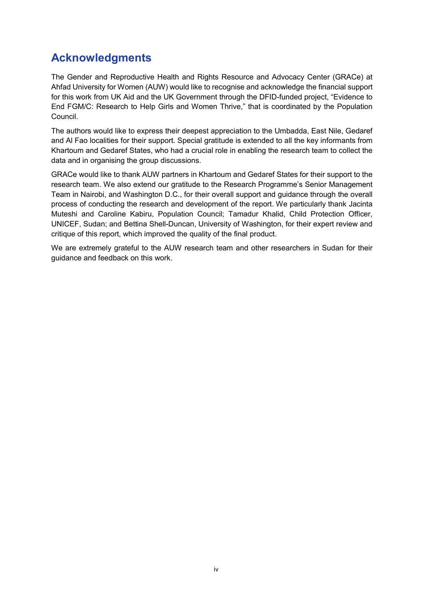# <span id="page-5-0"></span>**Acknowledgments**

The Gender and Reproductive Health and Rights Resource and Advocacy Center (GRACe) at Ahfad University for Women (AUW) would like to recognise and acknowledge the financial support for this work from UK Aid and the UK Government through the DFID-funded project, "Evidence to End FGM/C: Research to Help Girls and Women Thrive," that is coordinated by the Population Council.

The authors would like to express their deepest appreciation to the Umbadda, East Nile, Gedaref and Al Fao localities for their support. Special gratitude is extended to all the key informants from Khartoum and Gedaref States, who had a crucial role in enabling the research team to collect the data and in organising the group discussions.

GRACe would like to thank AUW partners in Khartoum and Gedaref States for their support to the research team. We also extend our gratitude to the Research Programme's Senior Management Team in Nairobi, and Washington D.C., for their overall support and guidance through the overall process of conducting the research and development of the report. We particularly thank Jacinta Muteshi and Caroline Kabiru, Population Council; Tamadur Khalid, Child Protection Officer, UNICEF, Sudan; and Bettina Shell-Duncan, University of Washington, for their expert review and critique of this report, which improved the quality of the final product.

We are extremely grateful to the AUW research team and other researchers in Sudan for their guidance and feedback on this work.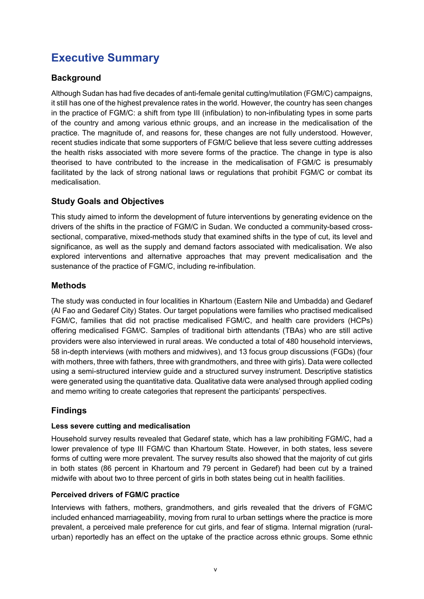# <span id="page-6-0"></span>**Executive Summary**

## **Background**

Although Sudan has had five decades of anti-female genital cutting/mutilation (FGM/C) campaigns, it still has one of the highest prevalence rates in the world. However, the country has seen changes in the practice of FGM/C: a shift from type III (infibulation) to non-infibulating types in some parts of the country and among various ethnic groups, and an increase in the medicalisation of the practice. The magnitude of, and reasons for, these changes are not fully understood. However, recent studies indicate that some supporters of FGM/C believe that less severe cutting addresses the health risks associated with more severe forms of the practice. The change in type is also theorised to have contributed to the increase in the medicalisation of FGM/C is presumably facilitated by the lack of strong national laws or regulations that prohibit FGM/C or combat its medicalisation.

## **Study Goals and Objectives**

This study aimed to inform the development of future interventions by generating evidence on the drivers of the shifts in the practice of FGM/C in Sudan. We conducted a community-based crosssectional, comparative, mixed-methods study that examined shifts in the type of cut, its level and significance, as well as the supply and demand factors associated with medicalisation. We also explored interventions and alternative approaches that may prevent medicalisation and the sustenance of the practice of FGM/C, including re-infibulation.

## **Methods**

The study was conducted in four localities in Khartoum (Eastern Nile and Umbadda) and Gedaref (Al Fao and Gedaref City) States. Our target populations were families who practised medicalised FGM/C, families that did not practise medicalised FGM/C, and health care providers (HCPs) offering medicalised FGM/C. Samples of traditional birth attendants (TBAs) who are still active providers were also interviewed in rural areas. We conducted a total of 480 household interviews, 58 in-depth interviews (with mothers and midwives), and 13 focus group discussions (FGDs) (four with mothers, three with fathers, three with grandmothers, and three with girls). Data were collected using a semi-structured interview guide and a structured survey instrument. Descriptive statistics were generated using the quantitative data. Qualitative data were analysed through applied coding and memo writing to create categories that represent the participants' perspectives.

## **Findings**

#### **Less severe cutting and medicalisation**

Household survey results revealed that Gedaref state, which has a law prohibiting FGM/C, had a lower prevalence of type III FGM/C than Khartoum State. However, in both states, less severe forms of cutting were more prevalent. The survey results also showed that the majority of cut girls in both states (86 percent in Khartoum and 79 percent in Gedaref) had been cut by a trained midwife with about two to three percent of girls in both states being cut in health facilities.

#### **Perceived drivers of FGM/C practice**

Interviews with fathers, mothers, grandmothers, and girls revealed that the drivers of FGM/C included enhanced marriageability, moving from rural to urban settings where the practice is more prevalent, a perceived male preference for cut girls, and fear of stigma. Internal migration (ruralurban) reportedly has an effect on the uptake of the practice across ethnic groups. Some ethnic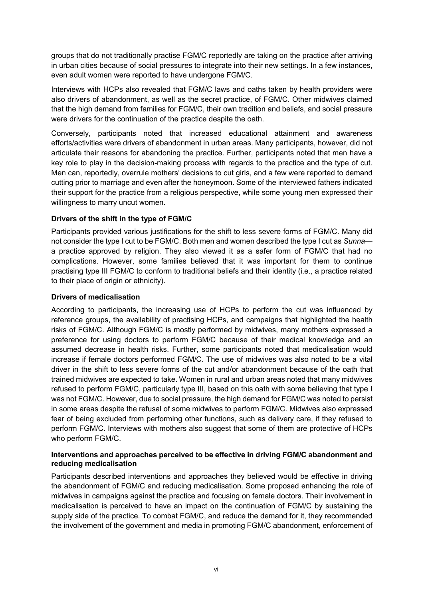groups that do not traditionally practise FGM/C reportedly are taking on the practice after arriving in urban cities because of social pressures to integrate into their new settings. In a few instances, even adult women were reported to have undergone FGM/C.

Interviews with HCPs also revealed that FGM/C laws and oaths taken by health providers were also drivers of abandonment, as well as the secret practice, of FGM/C. Other midwives claimed that the high demand from families for FGM/C, their own tradition and beliefs, and social pressure were drivers for the continuation of the practice despite the oath.

Conversely, participants noted that increased educational attainment and awareness efforts/activities were drivers of abandonment in urban areas. Many participants, however, did not articulate their reasons for abandoning the practice. Further, participants noted that men have a key role to play in the decision-making process with regards to the practice and the type of cut. Men can, reportedly, overrule mothers' decisions to cut girls, and a few were reported to demand cutting prior to marriage and even after the honeymoon. Some of the interviewed fathers indicated their support for the practice from a religious perspective, while some young men expressed their willingness to marry uncut women.

#### **Drivers of the shift in the type of FGM/C**

Participants provided various justifications for the shift to less severe forms of FGM/C. Many did not consider the type I cut to be FGM/C. Both men and women described the type I cut as *Sunna* a practice approved by religion. They also viewed it as a safer form of FGM/C that had no complications. However, some families believed that it was important for them to continue practising type III FGM/C to conform to traditional beliefs and their identity (i.e., a practice related to their place of origin or ethnicity).

#### **Drivers of medicalisation**

According to participants, the increasing use of HCPs to perform the cut was influenced by reference groups, the availability of practising HCPs, and campaigns that highlighted the health risks of FGM/C. Although FGM/C is mostly performed by midwives, many mothers expressed a preference for using doctors to perform FGM/C because of their medical knowledge and an assumed decrease in health risks. Further, some participants noted that medicalisation would increase if female doctors performed FGM/C. The use of midwives was also noted to be a vital driver in the shift to less severe forms of the cut and/or abandonment because of the oath that trained midwives are expected to take. Women in rural and urban areas noted that many midwives refused to perform FGM/C, particularly type III, based on this oath with some believing that type I was not FGM/C. However, due to social pressure, the high demand for FGM/C was noted to persist in some areas despite the refusal of some midwives to perform FGM/C. Midwives also expressed fear of being excluded from performing other functions, such as delivery care, if they refused to perform FGM/C. Interviews with mothers also suggest that some of them are protective of HCPs who perform FGM/C.

#### **Interventions and approaches perceived to be effective in driving FGM/C abandonment and reducing medicalisation**

Participants described interventions and approaches they believed would be effective in driving the abandonment of FGM/C and reducing medicalisation. Some proposed enhancing the role of midwives in campaigns against the practice and focusing on female doctors. Their involvement in medicalisation is perceived to have an impact on the continuation of FGM/C by sustaining the supply side of the practice. To combat FGM/C, and reduce the demand for it, they recommended the involvement of the government and media in promoting FGM/C abandonment, enforcement of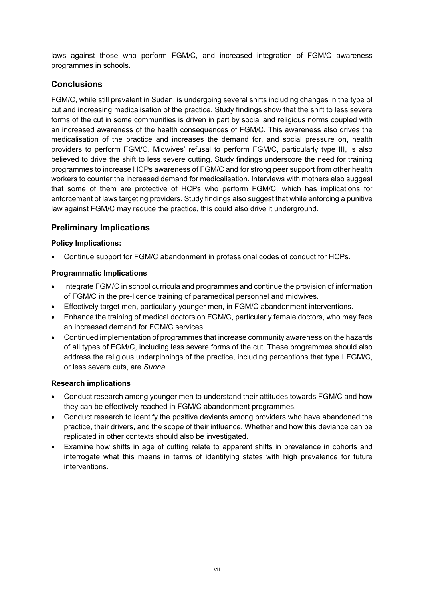laws against those who perform FGM/C, and increased integration of FGM/C awareness programmes in schools.

## **Conclusions**

FGM/C, while still prevalent in Sudan, is undergoing several shifts including changes in the type of cut and increasing medicalisation of the practice. Study findings show that the shift to less severe forms of the cut in some communities is driven in part by social and religious norms coupled with an increased awareness of the health consequences of FGM/C. This awareness also drives the medicalisation of the practice and increases the demand for, and social pressure on, health providers to perform FGM/C. Midwives' refusal to perform FGM/C, particularly type III, is also believed to drive the shift to less severe cutting. Study findings underscore the need for training programmes to increase HCPs awareness of FGM/C and for strong peer support from other health workers to counter the increased demand for medicalisation. Interviews with mothers also suggest that some of them are protective of HCPs who perform FGM/C, which has implications for enforcement of laws targeting providers. Study findings also suggest that while enforcing a punitive law against FGM/C may reduce the practice, this could also drive it underground.

## **Preliminary Implications**

#### **Policy Implications:**

• Continue support for FGM/C abandonment in professional codes of conduct for HCPs.

#### **Programmatic Implications**

- Integrate FGM/C in school curricula and programmes and continue the provision of information of FGM/C in the pre-licence training of paramedical personnel and midwives.
- Effectively target men, particularly younger men, in FGM/C abandonment interventions.
- Enhance the training of medical doctors on FGM/C, particularly female doctors, who may face an increased demand for FGM/C services.
- Continued implementation of programmes that increase community awareness on the hazards of all types of FGM/C, including less severe forms of the cut. These programmes should also address the religious underpinnings of the practice, including perceptions that type I FGM/C, or less severe cuts, are *Sunna.*

#### **Research implications**

- Conduct research among younger men to understand their attitudes towards FGM/C and how they can be effectively reached in FGM/C abandonment programmes.
- Conduct research to identify the positive deviants among providers who have abandoned the practice, their drivers, and the scope of their influence. Whether and how this deviance can be replicated in other contexts should also be investigated.
- Examine how shifts in age of cutting relate to apparent shifts in prevalence in cohorts and interrogate what this means in terms of identifying states with high prevalence for future interventions.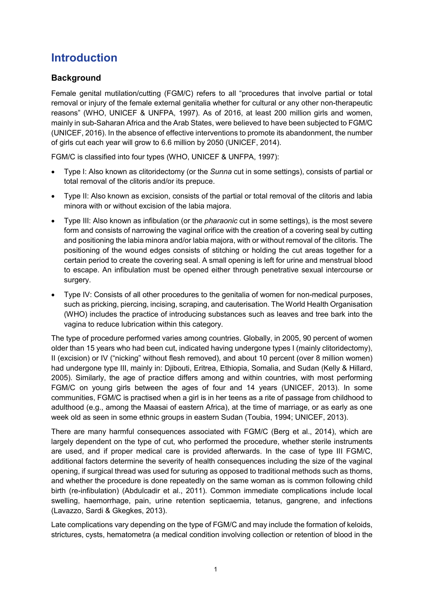# <span id="page-9-0"></span>**Introduction**

## <span id="page-9-1"></span>**Background**

Female genital mutilation/cutting (FGM/C) refers to all "procedures that involve partial or total removal or injury of the female external genitalia whether for cultural or any other non-therapeutic reasons" (WHO, UNICEF & UNFPA, 1997). As of 2016, at least 200 million girls and women, mainly in sub-Saharan Africa and the Arab States, were believed to have been subjected to FGM/C (UNICEF, 2016). In the absence of effective interventions to promote its abandonment, the number of girls cut each year will grow to 6.6 million by 2050 (UNICEF, 2014).

FGM/C is classified into four types (WHO, UNICEF & UNFPA, 1997):

- Type I: Also known as clitoridectomy (or the *Sunna* cut in some settings), consists of partial or total removal of the clitoris and/or its prepuce.
- Type II: Also known as excision, consists of the partial or total removal of the clitoris and labia minora with or without excision of the labia majora.
- Type III: Also known as infibulation (or the *pharaonic* cut in some settings), is the most severe form and consists of narrowing the vaginal orifice with the creation of a covering seal by cutting and positioning the labia minora and/or labia majora, with or without removal of the clitoris. The positioning of the wound edges consists of stitching or holding the cut areas together for a certain period to create the covering seal. A small opening is left for urine and menstrual blood to escape. An infibulation must be opened either through penetrative sexual intercourse or surgery.
- Type IV: Consists of all other procedures to the genitalia of women for non-medical purposes, such as pricking, piercing, incising, scraping, and cauterisation. The World Health Organisation (WHO) includes the practice of introducing substances such as leaves and tree bark into the vagina to reduce lubrication within this category.

The type of procedure performed varies among countries. Globally, in 2005, 90 percent of women older than 15 years who had been cut, indicated having undergone types I (mainly clitoridectomy), II (excision) or IV ("nicking" without flesh removed), and about 10 percent (over 8 million women) had undergone type III, mainly in: Djibouti, Eritrea, Ethiopia, Somalia, and Sudan (Kelly & Hillard, 2005). Similarly, the age of practice differs among and within countries, with most performing FGM/C on young girls between the ages of four and 14 years (UNICEF, 2013). In some communities, FGM/C is practised when a girl is in her teens as a rite of passage from childhood to adulthood (e.g., among the Maasai of eastern Africa), at the time of marriage, or as early as one week old as seen in some ethnic groups in eastern Sudan (Toubia, 1994; UNICEF, 2013).

There are many harmful consequences associated with FGM/C (Berg et al., 2014), which are largely dependent on the type of cut, who performed the procedure, whether sterile instruments are used, and if proper medical care is provided afterwards. In the case of type III FGM/C, additional factors determine the severity of health consequences including the size of the vaginal opening, if surgical thread was used for suturing as opposed to traditional methods such as thorns, and whether the procedure is done repeatedly on the same woman as is common following child birth (re-infibulation) (Abdulcadir et al., 2011). Common immediate complications include local swelling, haemorrhage, pain, urine retention septicaemia, tetanus, gangrene, and infections (Lavazzo, Sardi & Gkegkes, 2013).

Late complications vary depending on the type of FGM/C and may include the formation of keloids, strictures, cysts, hematometra (a medical condition involving collection or retention of blood in the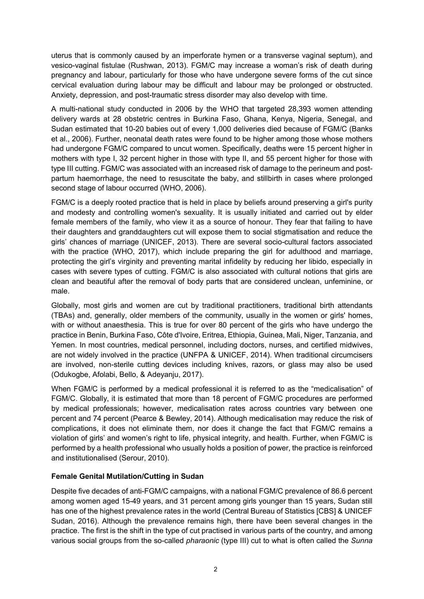uterus that is commonly caused by an imperforate hymen or a transverse vaginal septum), and vesico-vaginal fistulae (Rushwan, 2013). FGM/C may increase a woman's risk of death during pregnancy and labour, particularly for those who have undergone severe forms of the cut since cervical evaluation during labour may be difficult and labour may be prolonged or obstructed. Anxiety, depression, and post-traumatic stress disorder may also develop with time.

A multi-national study conducted in 2006 by the WHO that targeted 28,393 women attending delivery wards at 28 obstetric centres in Burkina Faso, Ghana, Kenya, Nigeria, Senegal, and Sudan estimated that 10-20 babies out of every 1,000 deliveries died because of FGM/C (Banks et al., 2006). Further, neonatal death rates were found to be higher among those whose mothers had undergone FGM/C compared to uncut women. Specifically, deaths were 15 percent higher in mothers with type I, 32 percent higher in those with type II, and 55 percent higher for those with type III cutting. FGM/C was associated with an increased risk of damage to the perineum and postpartum haemorrhage, the need to resuscitate the baby, and stillbirth in cases where prolonged second stage of labour occurred (WHO, 2006).

FGM/C is a deeply rooted practice that is held in place by beliefs around preserving a girl's purity and modesty and controlling women's sexuality. It is usually initiated and carried out by elder female members of the family, who view it as a source of honour. They fear that failing to have their daughters and granddaughters cut will expose them to social stigmatisation and reduce the girls' chances of marriage (UNICEF, 2013). There are several socio-cultural factors associated with the practice (WHO, 2017), which include preparing the girl for adulthood and marriage, protecting the girl's virginity and preventing marital infidelity by reducing her libido, especially in cases with severe types of cutting. FGM/C is also associated with cultural notions that girls are clean and beautiful after the removal of body parts that are considered unclean, unfeminine, or male.

Globally, most girls and women are cut by traditional practitioners, traditional birth attendants (TBAs) and, generally, older members of the community, usually in the women or girls' homes, with or without anaesthesia. This is true for over 80 percent of the girls who have undergo the practice in Benin, Burkina Faso, Côte d'Ivoire, Eritrea, Ethiopia, Guinea, Mali, Niger, Tanzania, and Yemen. In most countries, medical personnel, including doctors, nurses, and certified midwives, are not widely involved in the practice (UNFPA & UNICEF, 2014). When traditional circumcisers are involved, non-sterile cutting devices including knives, razors, or glass may also be used (Odukogbe, Afolabi, Bello, & Adeyanju, 2017).

When FGM/C is performed by a medical professional it is referred to as the "medicalisation" of FGM/C. Globally, it is estimated that more than 18 percent of FGM/C procedures are performed by medical professionals; however, medicalisation rates across countries vary between one percent and 74 percent (Pearce & Bewley, 2014). Although medicalisation may reduce the risk of complications, it does not eliminate them, nor does it change the fact that FGM/C remains a violation of girls' and women's right to life, physical integrity, and health. Further, when FGM/C is performed by a health professional who usually holds a position of power, the practice is reinforced and institutionalised (Serour, 2010).

#### <span id="page-10-0"></span>**Female Genital Mutilation/Cutting in Sudan**

Despite five decades of anti-FGM/C campaigns, with a national FGM/C prevalence of 86.6 percent among women aged 15-49 years, and 31 percent among girls younger than 15 years, Sudan still has one of the highest prevalence rates in the world (Central Bureau of Statistics [CBS] & UNICEF Sudan, 2016). Although the prevalence remains high, there have been several changes in the practice. The first is the shift in the type of cut practised in various parts of the country, and among various social groups from the so-called *pharaonic* (type III) cut to what is often called the *Sunna*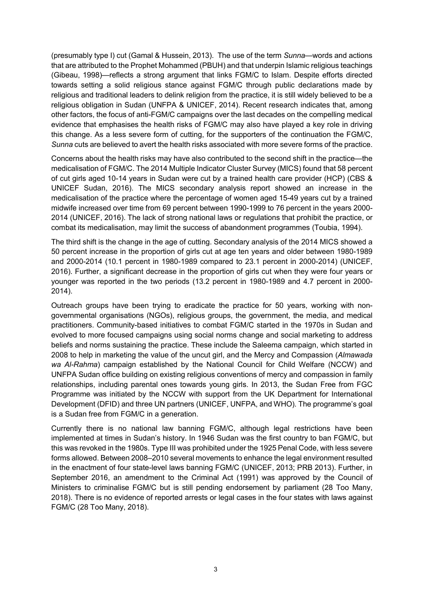(presumably type I) cut (Gamal & Hussein, 2013). The use of the term *Sunna*—words and actions that are attributed to the Prophet Mohammed (PBUH) and that underpin Islamic religious teachings (Gibeau, 1998)—reflects a strong argument that links FGM/C to Islam. Despite efforts directed towards setting a solid religious stance against FGM/C through public declarations made by religious and traditional leaders to delink religion from the practice, it is still widely believed to be a religious obligation in Sudan (UNFPA & UNICEF, 2014). Recent research indicates that, among other factors, the focus of anti-FGM/C campaigns over the last decades on the compelling medical evidence that emphasises the health risks of FGM/C may also have played a key role in driving this change. As a less severe form of cutting, for the supporters of the continuation the FGM/C, *Sunna* cuts are believed to avert the health risks associated with more severe forms of the practice.

Concerns about the health risks may have also contributed to the second shift in the practice—the medicalisation of FGM/C. The 2014 Multiple Indicator Cluster Survey (MICS) found that 58 percent of cut girls aged 10-14 years in Sudan were cut by a trained health care provider (HCP) (CBS & UNICEF Sudan, 2016). The MICS secondary analysis report showed an increase in the medicalisation of the practice where the percentage of women aged 15-49 years cut by a trained midwife increased over time from 69 percent between 1990-1999 to 76 percent in the years 2000- 2014 (UNICEF, 2016). The lack of strong national laws or regulations that prohibit the practice, or combat its medicalisation, may limit the success of abandonment programmes (Toubia, 1994).

The third shift is the change in the age of cutting. Secondary analysis of the 2014 MICS showed a 50 percent increase in the proportion of girls cut at age ten years and older between 1980-1989 and 2000-2014 (10.1 percent in 1980-1989 compared to 23.1 percent in 2000-2014) (UNICEF, 2016). Further, a significant decrease in the proportion of girls cut when they were four years or younger was reported in the two periods (13.2 percent in 1980-1989 and 4.7 percent in 2000- 2014).

Outreach groups have been trying to eradicate the practice for 50 years, working with nongovernmental organisations (NGOs), religious groups, the government, the media, and medical practitioners. Community-based initiatives to combat FGM/C started in the 1970s in Sudan and evolved to more focused campaigns using social norms change and social marketing to address beliefs and norms sustaining the practice. These include the Saleema campaign, which started in 2008 to help in marketing the value of the uncut girl, and the Mercy and Compassion (*Almawada wa Al-Rahma*) campaign established by the National Council for Child Welfare (NCCW) and UNFPA Sudan office building on existing religious conventions of mercy and compassion in family relationships, including parental ones towards young girls. In 2013, the Sudan Free from FGC Programme was initiated by the NCCW with support from the UK Department for International Development (DFID) and three UN partners (UNICEF, UNFPA, and WHO). The programme's goal is a Sudan free from FGM/C in a generation.

Currently there is no national law banning FGM/C, although legal restrictions have been implemented at times in Sudan's history. In 1946 Sudan was the first country to ban FGM/C, but this was revoked in the 1980s. Type III was prohibited under the 1925 Penal Code, with less severe forms allowed. Between 2008–2010 several movements to enhance the legal environment resulted in the enactment of four state-level laws banning FGM/C (UNICEF, 2013; PRB 2013). Further, in September 2016, an amendment to the Criminal Act (1991) was approved by the Council of Ministers to criminalise FGM/C but is still pending endorsement by parliament (28 Too Many, 2018). There is no evidence of reported arrests or legal cases in the four states with laws against FGM/C (28 Too Many, 2018).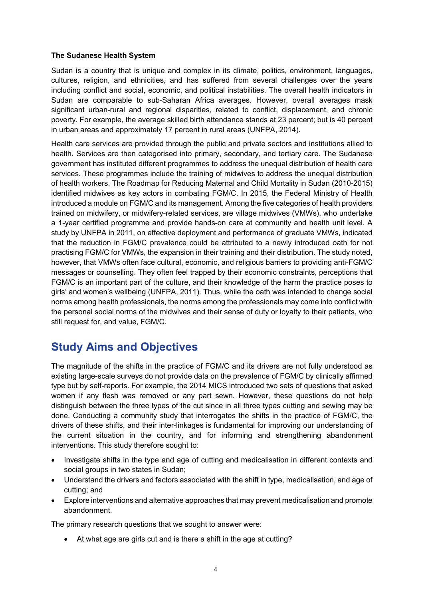#### <span id="page-12-0"></span>**The Sudanese Health System**

Sudan is a country that is unique and complex in its climate, politics, environment, languages, cultures, religion, and ethnicities, and has suffered from several challenges over the years including conflict and social, economic, and political instabilities. The overall health indicators in Sudan are comparable to sub-Saharan Africa averages. However, overall averages mask significant urban-rural and regional disparities, related to conflict, displacement, and chronic poverty. For example, the average skilled birth attendance stands at 23 percent; but is 40 percent in urban areas and approximately 17 percent in rural areas (UNFPA, 2014).

Health care services are provided through the public and private sectors and institutions allied to health. Services are then categorised into primary, secondary, and tertiary care. The Sudanese government has instituted different programmes to address the unequal distribution of health care services. These programmes include the training of midwives to address the unequal distribution of health workers. The Roadmap for Reducing Maternal and Child Mortality in Sudan (2010-2015) identified midwives as key actors in combating FGM/C. In 2015, the Federal Ministry of Health introduced a module on FGM/C and its management. Among the five categories of health providers trained on midwifery, or midwifery-related services, are village midwives (VMWs), who undertake a 1-year certified programme and provide hands-on care at community and health unit level. A study by UNFPA in 2011, on effective deployment and performance of graduate VMWs, indicated that the reduction in FGM/C prevalence could be attributed to a newly introduced oath for not practising FGM/C for VMWs, the expansion in their training and their distribution. The study noted, however, that VMWs often face cultural, economic, and religious barriers to providing anti-FGM/C messages or counselling. They often feel trapped by their economic constraints, perceptions that FGM/C is an important part of the culture, and their knowledge of the harm the practice poses to girls' and women's wellbeing (UNFPA, 2011). Thus, while the oath was intended to change social norms among health professionals, the norms among the professionals may come into conflict with the personal social norms of the midwives and their sense of duty or loyalty to their patients, who still request for, and value, FGM/C.

# <span id="page-12-1"></span>**Study Aims and Objectives**

The magnitude of the shifts in the practice of FGM/C and its drivers are not fully understood as existing large-scale surveys do not provide data on the prevalence of FGM/C by clinically affirmed type but by self-reports. For example, the 2014 MICS introduced two sets of questions that asked women if any flesh was removed or any part sewn. However, these questions do not help distinguish between the three types of the cut since in all three types cutting and sewing may be done. Conducting a community study that interrogates the shifts in the practice of FGM/C, the drivers of these shifts, and their inter-linkages is fundamental for improving our understanding of the current situation in the country, and for informing and strengthening abandonment interventions. This study therefore sought to:

- Investigate shifts in the type and age of cutting and medicalisation in different contexts and social groups in two states in Sudan;
- Understand the drivers and factors associated with the shift in type, medicalisation, and age of cutting; and
- Explore interventions and alternative approaches that may prevent medicalisation and promote abandonment.

The primary research questions that we sought to answer were:

• At what age are girls cut and is there a shift in the age at cutting?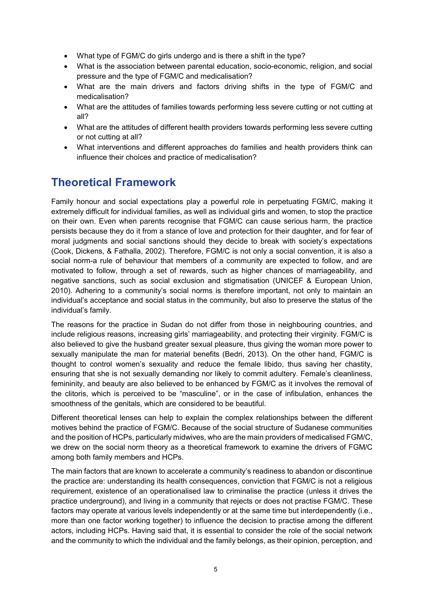- What type of FGM/C do girls undergo and is there a shift in the type?
- What is the association between parental education, socio-economic, religion, and social pressure and the type of FGM/C and medicalisation?
- What are the main drivers and factors driving shifts in the type of FGM/C and medicalisation?
- What are the attitudes of families towards performing less severe cutting or not cutting at all?
- What are the attitudes of different health providers towards performing less severe cutting or not cutting at all?
- What interventions and different approaches do families and health providers think can influence their choices and practice of medicalisation?

# <span id="page-13-0"></span>**Theoretical Framework**

Family honour and social expectations play a powerful role in perpetuating FGM/C, making it extremely difficult for individual families, as well as individual girls and women, to stop the practice on their own. Even when parents recognise that FGM/C can cause serious harm, the practice persists because they do it from a stance of love and protection for their daughter, and for fear of moral judgments and social sanctions should they decide to break with society's expectations (Cook, Dickens, & Fathalla, 2002). Therefore, FGM/C is not only a social convention, it is also a social norm-a rule of behaviour that members of a community are expected to follow, and are motivated to follow, through a set of rewards, such as higher chances of marriageability, and negative sanctions, such as social exclusion and stigmatisation (UNICEF & European Union, 2010). Adhering to a community's social norms is therefore important, not only to maintain an individual's acceptance and social status in the community, but also to preserve the status of the individual's family.

The reasons for the practice in Sudan do not differ from those in neighbouring countries, and include religious reasons, increasing girls' marriageability, and protecting their virginity. FGM/C is also believed to give the husband greater sexual pleasure, thus giving the woman more power to sexually manipulate the man for material benefits (Bedri, 2013). On the other hand, FGM/C is thought to control women's sexuality and reduce the female libido, thus saving her chastity, ensuring that she is not sexually demanding nor likely to commit adultery. Female's cleanliness, femininity, and beauty are also believed to be enhanced by FGM/C as it involves the removal of the clitoris, which is perceived to be "masculine", or in the case of infibulation, enhances the smoothness of the genitals, which are considered to be beautiful.

Different theoretical lenses can help to explain the complex relationships between the different motives behind the practice of FGM/C. Because of the social structure of Sudanese communities and the position of HCPs, particularly midwives, who are the main providers of medicalised FGM/C, we drew on the social norm theory as a theoretical framework to examine the drivers of FGM/C among both family members and HCPs.

The main factors that are known to accelerate a community's readiness to abandon or discontinue the practice are: understanding its health consequences, conviction that FGM/C is not a religious requirement, existence of an operationalised law to criminalise the practice (unless it drives the practice underground), and living in a community that rejects or does not practise FGM/C. These factors may operate at various levels independently or at the same time but interdependently (i.e., more than one factor working together) to influence the decision to practise among the different actors, including HCPs. Having said that, it is essential to consider the role of the social network and the community to which the individual and the family belongs, as their opinion, perception, and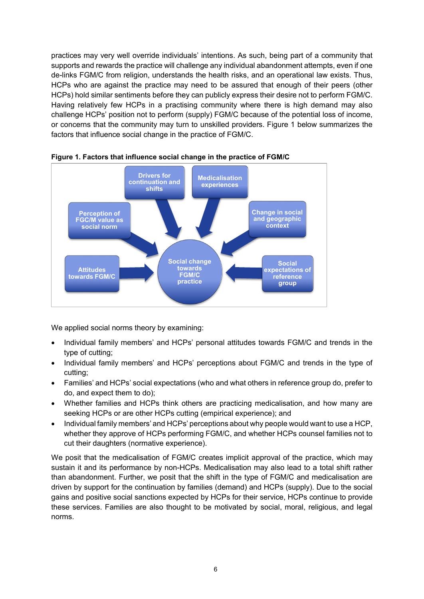practices may very well override individuals' intentions. As such, being part of a community that supports and rewards the practice will challenge any individual abandonment attempts, even if one de-links FGM/C from religion, understands the health risks, and an operational law exists. Thus, HCPs who are against the practice may need to be assured that enough of their peers (other HCPs) hold similar sentiments before they can publicly express their desire not to perform FGM/C. Having relatively few HCPs in a practising community where there is high demand may also challenge HCPs' position not to perform (supply) FGM/C because of the potential loss of income, or concerns that the community may turn to unskilled providers. Figure 1 below summarizes the factors that influence social change in the practice of FGM/C.



**Figure 1. Factors that influence social change in the practice of FGM/C**

We applied social norms theory by examining:

- Individual family members' and HCPs' personal attitudes towards FGM/C and trends in the type of cutting;
- Individual family members' and HCPs' perceptions about FGM/C and trends in the type of cutting;
- Families' and HCPs' social expectations (who and what others in reference group do, prefer to do, and expect them to do);
- Whether families and HCPs think others are practicing medicalisation, and how many are seeking HCPs or are other HCPs cutting (empirical experience); and
- Individual family members' and HCPs' perceptions about why people would want to use a HCP, whether they approve of HCPs performing FGM/C, and whether HCPs counsel families not to cut their daughters (normative experience).

We posit that the medicalisation of FGM/C creates implicit approval of the practice, which may sustain it and its performance by non-HCPs. Medicalisation may also lead to a total shift rather than abandonment. Further, we posit that the shift in the type of FGM/C and medicalisation are driven by support for the continuation by families (demand) and HCPs (supply). Due to the social gains and positive social sanctions expected by HCPs for their service, HCPs continue to provide these services. Families are also thought to be motivated by social, moral, religious, and legal norms.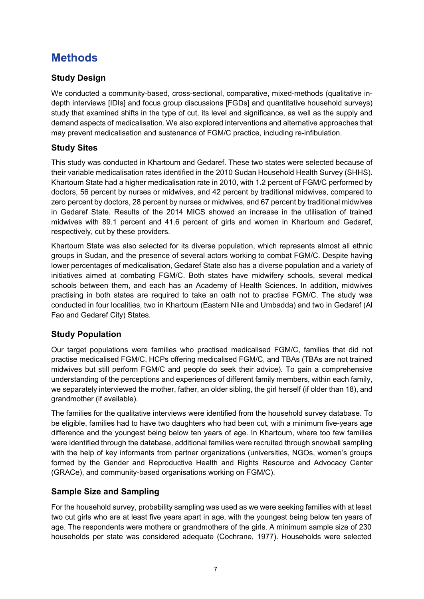# <span id="page-15-0"></span>**Methods**

# <span id="page-15-1"></span>**Study Design**

We conducted a community-based, cross-sectional, comparative, mixed-methods (qualitative indepth interviews [IDIs] and focus group discussions [FGDs] and quantitative household surveys) study that examined shifts in the type of cut, its level and significance, as well as the supply and demand aspects of medicalisation. We also explored interventions and alternative approaches that may prevent medicalisation and sustenance of FGM/C practice, including re-infibulation.

## **Study Sites**

This study was conducted in Khartoum and Gedaref. These two states were selected because of their variable medicalisation rates identified in the 2010 Sudan Household Health Survey (SHHS). Khartoum State had a higher medicalisation rate in 2010, with 1.2 percent of FGM/C performed by doctors, 56 percent by nurses or midwives, and 42 percent by traditional midwives, compared to zero percent by doctors, 28 percent by nurses or midwives, and 67 percent by traditional midwives in Gedaref State. Results of the 2014 MICS showed an increase in the utilisation of trained midwives with 89.1 percent and 41.6 percent of girls and women in Khartoum and Gedaref, respectively, cut by these providers.

Khartoum State was also selected for its diverse population, which represents almost all ethnic groups in Sudan, and the presence of several actors working to combat FGM/C. Despite having lower percentages of medicalisation, Gedaref State also has a diverse population and a variety of initiatives aimed at combating FGM/C. Both states have midwifery schools, several medical schools between them, and each has an Academy of Health Sciences. In addition, midwives practising in both states are required to take an oath not to practise FGM/C. The study was conducted in four localities, two in Khartoum (Eastern Nile and Umbadda) and two in Gedaref (Al Fao and Gedaref City) States.

## <span id="page-15-2"></span>**Study Population**

Our target populations were families who practised medicalised FGM/C, families that did not practise medicalised FGM/C, HCPs offering medicalised FGM/C, and TBAs (TBAs are not trained midwives but still perform FGM/C and people do seek their advice). To gain a comprehensive understanding of the perceptions and experiences of different family members, within each family, we separately interviewed the mother, father, an older sibling, the girl herself (if older than 18), and grandmother (if available).

The families for the qualitative interviews were identified from the household survey database. To be eligible, families had to have two daughters who had been cut, with a minimum five-years age difference and the youngest being below ten years of age. In Khartoum, where too few families were identified through the database, additional families were recruited through snowball sampling with the help of key informants from partner organizations (universities, NGOs, women's groups formed by the Gender and Reproductive Health and Rights Resource and Advocacy Center (GRACe), and community-based organisations working on FGM/C).

# <span id="page-15-3"></span>**Sample Size and Sampling**

For the household survey, probability sampling was used as we were seeking families with at least two cut girls who are at least five years apart in age, with the youngest being below ten years of age. The respondents were mothers or grandmothers of the girls. A minimum sample size of 230 households per state was considered adequate (Cochrane, 1977). Households were selected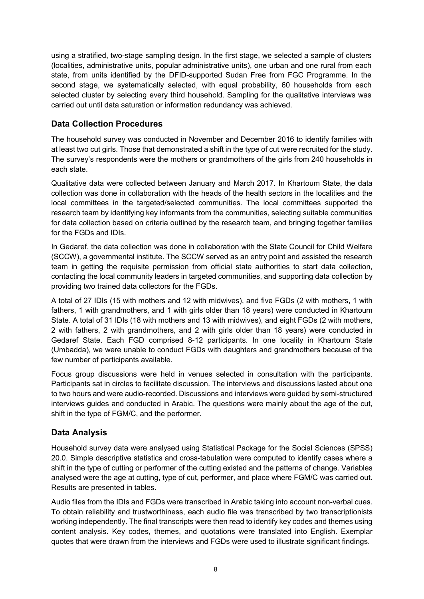using a stratified, two-stage sampling design. In the first stage, we selected a sample of clusters (localities, administrative units, popular administrative units), one urban and one rural from each state, from units identified by the DFID-supported Sudan Free from FGC Programme. In the second stage, we systematically selected, with equal probability, 60 households from each selected cluster by selecting every third household. Sampling for the qualitative interviews was carried out until data saturation or information redundancy was achieved.

## <span id="page-16-0"></span>**Data Collection Procedures**

The household survey was conducted in November and December 2016 to identify families with at least two cut girls. Those that demonstrated a shift in the type of cut were recruited for the study. The survey's respondents were the mothers or grandmothers of the girls from 240 households in each state.

Qualitative data were collected between January and March 2017. In Khartoum State, the data collection was done in collaboration with the heads of the health sectors in the localities and the local committees in the targeted/selected communities. The local committees supported the research team by identifying key informants from the communities, selecting suitable communities for data collection based on criteria outlined by the research team, and bringing together families for the FGDs and IDIs.

In Gedaref, the data collection was done in collaboration with the State Council for Child Welfare (SCCW), a governmental institute. The SCCW served as an entry point and assisted the research team in getting the requisite permission from official state authorities to start data collection, contacting the local community leaders in targeted communities, and supporting data collection by providing two trained data collectors for the FGDs.

A total of 27 IDIs (15 with mothers and 12 with midwives), and five FGDs (2 with mothers, 1 with fathers, 1 with grandmothers, and 1 with girls older than 18 years) were conducted in Khartoum State. A total of 31 IDIs (18 with mothers and 13 with midwives), and eight FGDs (2 with mothers, 2 with fathers, 2 with grandmothers, and 2 with girls older than 18 years) were conducted in Gedaref State. Each FGD comprised 8-12 participants. In one locality in Khartoum State (Umbadda), we were unable to conduct FGDs with daughters and grandmothers because of the few number of participants available.

Focus group discussions were held in venues selected in consultation with the participants. Participants sat in circles to facilitate discussion. The interviews and discussions lasted about one to two hours and were audio-recorded. Discussions and interviews were guided by semi-structured interviews guides and conducted in Arabic. The questions were mainly about the age of the cut, shift in the type of FGM/C, and the performer.

## <span id="page-16-1"></span>**Data Analysis**

Household survey data were analysed using Statistical Package for the Social Sciences (SPSS) 20.0. Simple descriptive statistics and cross-tabulation were computed to identify cases where a shift in the type of cutting or performer of the cutting existed and the patterns of change. Variables analysed were the age at cutting, type of cut, performer, and place where FGM/C was carried out. Results are presented in tables.

Audio files from the IDIs and FGDs were transcribed in Arabic taking into account non-verbal cues. To obtain reliability and trustworthiness, each audio file was transcribed by two transcriptionists working independently. The final transcripts were then read to identify key codes and themes using content analysis. Key codes, themes, and quotations were translated into English. Exemplar quotes that were drawn from the interviews and FGDs were used to illustrate significant findings.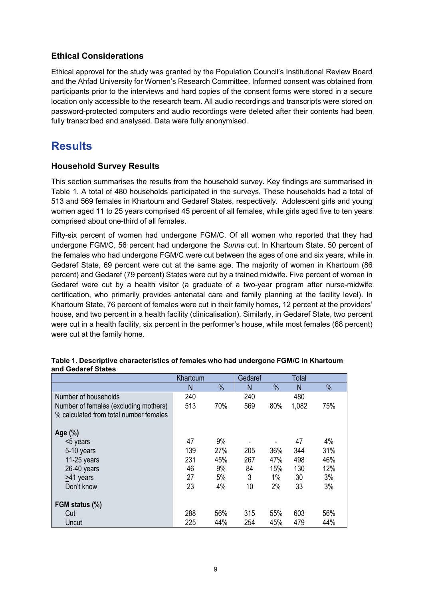## <span id="page-17-0"></span>**Ethical Considerations**

Ethical approval for the study was granted by the Population Council's Institutional Review Board and the Ahfad University for Women's Research Committee. Informed consent was obtained from participants prior to the interviews and hard copies of the consent forms were stored in a secure location only accessible to the research team. All audio recordings and transcripts were stored on password-protected computers and audio recordings were deleted after their contents had been fully transcribed and analysed. Data were fully anonymised.

# <span id="page-17-1"></span>**Results**

#### <span id="page-17-2"></span>**Household Survey Results**

This section summarises the results from the household survey. Key findings are summarised in Table 1. A total of 480 households participated in the surveys. These households had a total of 513 and 569 females in Khartoum and Gedaref States, respectively. Adolescent girls and young women aged 11 to 25 years comprised 45 percent of all females, while girls aged five to ten years comprised about one-third of all females.

Fifty-six percent of women had undergone FGM/C. Of all women who reported that they had undergone FGM/C, 56 percent had undergone the *Sunna* cut. In Khartoum State, 50 percent of the females who had undergone FGM/C were cut between the ages of one and six years, while in Gedaref State, 69 percent were cut at the same age. The majority of women in Khartoum (86 percent) and Gedaref (79 percent) States were cut by a trained midwife. Five percent of women in Gedaref were cut by a health visitor (a graduate of a two-year program after nurse-midwife certification, who primarily provides antenatal care and family planning at the facility level). In Khartoum State, 76 percent of females were cut in their family homes, 12 percent at the providers' house, and two percent in a health facility (clinicalisation). Similarly, in Gedaref State, two percent were cut in a health facility, six percent in the performer's house, while most females (68 percent) were cut at the family home.

|                                        | Khartoum |      | Gedaref |               | <b>Total</b> |               |
|----------------------------------------|----------|------|---------|---------------|--------------|---------------|
|                                        | N        | $\%$ | N       | $\frac{0}{0}$ | N            | $\frac{0}{0}$ |
| Number of households                   | 240      |      | 240     |               | 480          |               |
| Number of females (excluding mothers)  | 513      | 70%  | 569     | 80%           | 1,082        | 75%           |
| % calculated from total number females |          |      |         |               |              |               |
|                                        |          |      |         |               |              |               |
| Age (%)                                |          |      |         |               |              |               |
| <5 years                               | 47       | 9%   |         |               | 47           | 4%            |
| 5-10 years                             | 139      | 27%  | 205     | 36%           | 344          | 31%           |
| 11-25 years                            | 231      | 45%  | 267     | 47%           | 498          | 46%           |
| 26-40 years                            | 46       | 9%   | 84      | 15%           | 130          | 12%           |
| >41 years                              | 27       | 5%   | 3       | 1%            | 30           | 3%            |
| Don't know                             | 23       | 4%   | 10      | 2%            | 33           | 3%            |
|                                        |          |      |         |               |              |               |
| FGM status (%)                         |          |      |         |               |              |               |
| Cut                                    | 288      | 56%  | 315     | 55%           | 603          | 56%           |
| Uncut                                  | 225      | 44%  | 254     | 45%           | 479          | 44%           |

#### **Table 1. Descriptive characteristics of females who had undergone FGM/C in Khartoum and Gedaref States**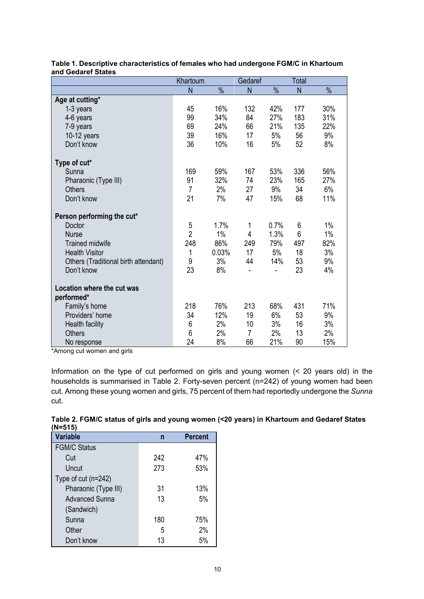|                                      | Khartoum       |       | Gedaref        |               | Total |               |
|--------------------------------------|----------------|-------|----------------|---------------|-------|---------------|
|                                      | N              | $\%$  | N              | $\frac{0}{0}$ | N     | $\frac{0}{0}$ |
| Age at cutting*                      |                |       |                |               |       |               |
| 1-3 years                            | 45             | 16%   | 132            | 42%           | 177   | 30%           |
| 4-6 years                            | 99             | 34%   | 84             | 27%           | 183   | 31%           |
| 7-9 years                            | 69             | 24%   | 66             | 21%           | 135   | 22%           |
| 10-12 years                          | 39             | 16%   | 17             | 5%            | 56    | 9%            |
| Don't know                           | 36             | 10%   | 16             | 5%            | 52    | 8%            |
| Type of cut*                         |                |       |                |               |       |               |
| Sunna                                | 169            | 59%   | 167            | 53%           | 336   | 56%           |
| Pharaonic (Type III)                 | 91             | 32%   | 74             | 23%           | 165   | 27%           |
| <b>Others</b>                        | $\overline{7}$ | 2%    | 27             | 9%            | 34    | 6%            |
| Don't know                           | 21             | 7%    | 47             | 15%           | 68    | 11%           |
| Person performing the cut*           |                |       |                |               |       |               |
| Doctor                               | 5              | 1.7%  | 1              | 0.7%          | 6     | $1\%$         |
| <b>Nurse</b>                         | $\overline{2}$ | 1%    | 4              | 1.3%          | 6     | $1\%$         |
| <b>Trained midwife</b>               | 248            | 86%   | 249            | 79%           | 497   | 82%           |
| <b>Health Visitor</b>                | 1              | 0.03% | 17             | 5%            | 18    | 3%            |
| Others (Traditional birth attendant) | 9              | 3%    | 44             | 14%           | 53    | 9%            |
| Don't know                           | 23             | 8%    |                |               | 23    | 4%            |
| Location where the cut was           |                |       |                |               |       |               |
| performed*                           |                |       |                |               |       |               |
| Family's home                        | 218            | 76%   | 213            | 68%           | 431   | 71%           |
| Providers' home                      | 34             | 12%   | 19             | 6%            | 53    | 9%            |
| Health facility                      | 6              | 2%    | 10             | 3%            | 16    | 3%            |
| <b>Others</b>                        | 6              | 2%    | $\overline{7}$ | 2%            | 13    | 2%            |
| No response                          | 24             | 8%    | 66             | 21%           | 90    | 15%           |

#### **Table 1. Descriptive characteristics of females who had undergone FGM/C in Khartoum and Gedaref States**

\*Among cut women and girls

Information on the type of cut performed on girls and young women (< 20 years old) in the households is summarised in Table 2. Forty-seven percent (n=242) of young women had been cut. Among these young women and girls, 75 percent of them had reportedly undergone the *Sunna* cut.

| Table 2. FGM/C status of girls and young women (<20 years) in Khartoum and Gedaref States |  |
|-------------------------------------------------------------------------------------------|--|
| (N=515)                                                                                   |  |

| (17–71 <i>)</i>       |     |                |
|-----------------------|-----|----------------|
| <b>Variable</b>       | n   | <b>Percent</b> |
| <b>FGM/C Status</b>   |     |                |
| Cut                   | 242 | 47%            |
| Uncut                 | 273 | 53%            |
| Type of cut $(n=242)$ |     |                |
| Pharaonic (Type III)  | 31  | 13%            |
| <b>Advanced Sunna</b> | 13  | 5%             |
| (Sandwich)            |     |                |
| Sunna                 | 180 | 75%            |
| Other                 | 5   | 2%             |
| Don't know            | 13  | 5%             |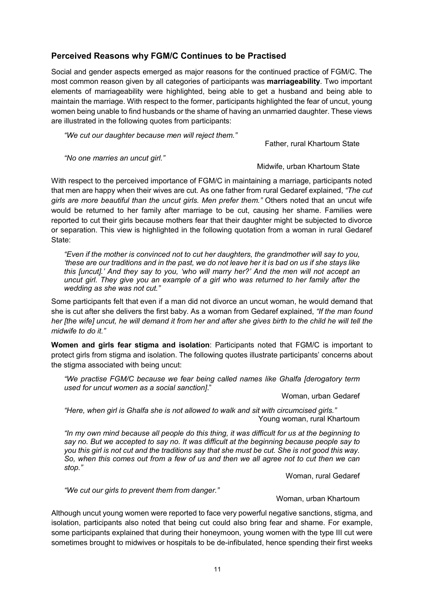## <span id="page-19-0"></span>**Perceived Reasons why FGM/C Continues to be Practised**

Social and gender aspects emerged as major reasons for the continued practice of FGM/C. The most common reason given by all categories of participants was **marriageability**. Two important elements of marriageability were highlighted, being able to get a husband and being able to maintain the marriage. With respect to the former, participants highlighted the fear of uncut, young women being unable to find husbands or the shame of having an unmarried daughter. These views are illustrated in the following quotes from participants:

*"We cut our daughter because men will reject them."*

Father, rural Khartoum State

*"No one marries an uncut girl."*

Midwife, urban Khartoum State

With respect to the perceived importance of FGM/C in maintaining a marriage, participants noted that men are happy when their wives are cut. As one father from rural Gedaref explained, *"The cut girls are more beautiful than the uncut girls. Men prefer them."* Others noted that an uncut wife would be returned to her family after marriage to be cut, causing her shame. Families were reported to cut their girls because mothers fear that their daughter might be subjected to divorce or separation. This view is highlighted in the following quotation from a woman in rural Gedaref State:

*"Even if the mother is convinced not to cut her daughters, the grandmother will say to you, 'these are our traditions and in the past, we do not leave her it is bad on us if she stays like this [uncut].' And they say to you, 'who will marry her?' And the men will not accept an uncut girl. They give you an example of a girl who was returned to her family after the wedding as she was not cut."*

Some participants felt that even if a man did not divorce an uncut woman, he would demand that she is cut after she delivers the first baby. As a woman from Gedaref explained, *"If the man found her [the wife] uncut, he will demand it from her and after she gives birth to the child he will tell the midwife to do it."*

**Women and girls fear stigma and isolation**: Participants noted that FGM/C is important to protect girls from stigma and isolation. The following quotes illustrate participants' concerns about the stigma associated with being uncut:

*"We practise FGM/C because we fear being called names like Ghalfa [derogatory term used for uncut women as a social sanction]*."

Woman, urban Gedaref

*"Here, when girl is Ghalfa she is not allowed to walk and sit with circumcised girls."* Young woman, rural Khartoum

*"In my own mind because all people do this thing, it was difficult for us at the beginning to say no. But we accepted to say no. It was difficult at the beginning because people say to you this girl is not cut and the traditions say that she must be cut. She is not good this way. So, when this comes out from a few of us and then we all agree not to cut then we can stop."* 

Woman, rural Gedaref

*"We cut our girls to prevent them from danger."* 

Woman, urban Khartoum

Although uncut young women were reported to face very powerful negative sanctions, stigma, and isolation, participants also noted that being cut could also bring fear and shame. For example, some participants explained that during their honeymoon, young women with the type III cut were sometimes brought to midwives or hospitals to be de-infibulated, hence spending their first weeks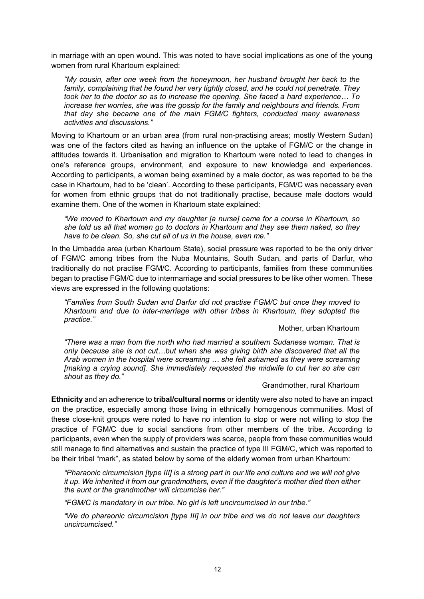in marriage with an open wound. This was noted to have social implications as one of the young women from rural Khartoum explained:

*"My cousin, after one week from the honeymoon, her husband brought her back to the family, complaining that he found her very tightly closed, and he could not penetrate. They took her to the doctor so as to increase the opening. She faced a hard experience… To increase her worries, she was the gossip for the family and neighbours and friends. From that day she became one of the main FGM/C fighters, conducted many awareness activities and discussions."*

Moving to Khartoum or an urban area (from rural non-practising areas; mostly Western Sudan) was one of the factors cited as having an influence on the uptake of FGM/C or the change in attitudes towards it. Urbanisation and migration to Khartoum were noted to lead to changes in one's reference groups, environment, and exposure to new knowledge and experiences. According to participants, a woman being examined by a male doctor, as was reported to be the case in Khartoum, had to be 'clean'. According to these participants, FGM/C was necessary even for women from ethnic groups that do not traditionally practise, because male doctors would examine them. One of the women in Khartoum state explained:

*"We moved to Khartoum and my daughter [a nurse] came for a course in Khartoum, so she told us all that women go to doctors in Khartoum and they see them naked, so they have to be clean. So, she cut all of us in the house, even me."* 

In the Umbadda area (urban Khartoum State), social pressure was reported to be the only driver of FGM/C among tribes from the Nuba Mountains, South Sudan, and parts of Darfur, who traditionally do not practise FGM/C. According to participants, families from these communities began to practise FGM/C due to intermarriage and social pressures to be like other women. These views are expressed in the following quotations:

*"Families from South Sudan and Darfur did not practise FGM/C but once they moved to Khartoum and due to inter-marriage with other tribes in Khartoum, they adopted the practice."*

#### Mother, urban Khartoum

*"There was a man from the north who had married a southern Sudanese woman. That is only because she is not cut…but when she was giving birth she discovered that all the Arab women in the hospital were screaming … she felt ashamed as they were screaming [making a crying sound]. She immediately requested the midwife to cut her so she can shout as they do."*

#### Grandmother, rural Khartoum

**Ethnicity** and an adherence to **tribal/cultural norms** or identity were also noted to have an impact on the practice, especially among those living in ethnically homogenous communities. Most of these close-knit groups were noted to have no intention to stop or were not willing to stop the practice of FGM/C due to social sanctions from other members of the tribe. According to participants, even when the supply of providers was scarce, people from these communities would still manage to find alternatives and sustain the practice of type III FGM/C, which was reported to be their tribal "mark", as stated below by some of the elderly women from urban Khartoum:

*"Pharaonic circumcision [type III] is a strong part in our life and culture and we will not give it up. We inherited it from our grandmothers, even if the daughter's mother died then either the aunt or the grandmother will circumcise her."*

*"FGM/C is mandatory in our tribe. No girl is left uncircumcised in our tribe."*

*"We do pharaonic circumcision [type III] in our tribe and we do not leave our daughters uncircumcised."*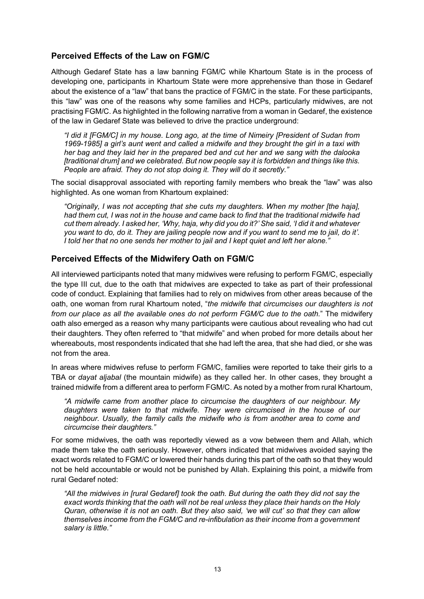### <span id="page-21-0"></span>**Perceived Effects of the Law on FGM/C**

Although Gedaref State has a law banning FGM/C while Khartoum State is in the process of developing one, participants in Khartoum State were more apprehensive than those in Gedaref about the existence of a "law" that bans the practice of FGM/C in the state. For these participants, this "law" was one of the reasons why some families and HCPs, particularly midwives, are not practising FGM/C. As highlighted in the following narrative from a woman in Gedaref, the existence of the law in Gedaref State was believed to drive the practice underground:

*"I did it [FGM/C] in my house. Long ago, at the time of Nimeiry [President of Sudan from 1969-1985] a girl's aunt went and called a midwife and they brought the girl in a taxi with her bag and they laid her in the prepared bed and cut her and we sang with the dalooka [traditional drum] and we celebrated. But now people say it is forbidden and things like this. People are afraid. They do not stop doing it. They will do it secretly."* 

The social disapproval associated with reporting family members who break the "law" was also highlighted. As one woman from Khartoum explained:

*"Originally, I was not accepting that she cuts my daughters. When my mother [the haja], had them cut, I was not in the house and came back to find that the traditional midwife had cut them already. I asked her, 'Why, haja, why did you do it?' She said, 'I did it and whatever you want to do, do it. They are jailing people now and if you want to send me to jail, do it'. I told her that no one sends her mother to jail and I kept quiet and left her alone."*

#### <span id="page-21-1"></span>**Perceived Effects of the Midwifery Oath on FGM/C**

All interviewed participants noted that many midwives were refusing to perform FGM/C, especially the type III cut, due to the oath that midwives are expected to take as part of their professional code of conduct. Explaining that families had to rely on midwives from other areas because of the oath, one woman from rural Khartoum noted, "*the midwife that circumcises our daughters is not from our place as all the available ones do not perform FGM/C due to the oath.*" The midwifery oath also emerged as a reason why many participants were cautious about revealing who had cut their daughters. They often referred to "that midwife" and when probed for more details about her whereabouts, most respondents indicated that she had left the area, that she had died, or she was not from the area.

In areas where midwives refuse to perform FGM/C, families were reported to take their girls to a TBA or *dayat aljabal* (the mountain midwife) as they called her. In other cases, they brought a trained midwife from a different area to perform FGM/C. As noted by a mother from rural Khartoum,

*"A midwife came from another place to circumcise the daughters of our neighbour. My daughters were taken to that midwife. They were circumcised in the house of our neighbour. Usually, the family calls the midwife who is from another area to come and circumcise their daughters."*

For some midwives, the oath was reportedly viewed as a vow between them and Allah, which made them take the oath seriously. However, others indicated that midwives avoided saying the exact words related to FGM/C or lowered their hands during this part of the oath so that they would not be held accountable or would not be punished by Allah. Explaining this point, a midwife from rural Gedaref noted:

*"All the midwives in [rural Gedaref] took the oath. But during the oath they did not say the exact words thinking that the oath will not be real unless they place their hands on the Holy Quran, otherwise it is not an oath. But they also said, 'we will cut' so that they can allow themselves income from the FGM/C and re-infibulation as their income from a government salary is little."*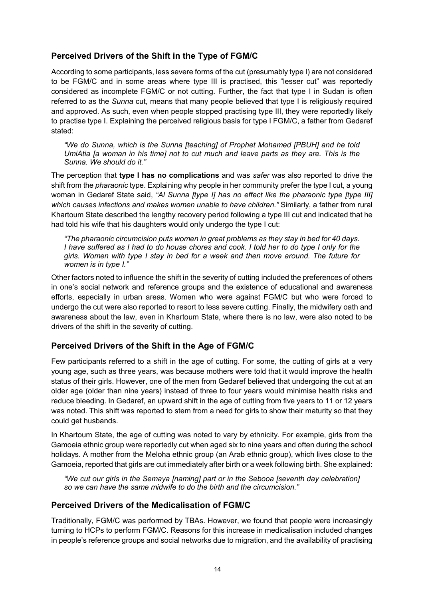## <span id="page-22-0"></span>**Perceived Drivers of the Shift in the Type of FGM/C**

According to some participants, less severe forms of the cut (presumably type I) are not considered to be FGM/C and in some areas where type III is practised, this "lesser cut" was reportedly considered as incomplete FGM/C or not cutting. Further, the fact that type I in Sudan is often referred to as the *Sunna* cut, means that many people believed that type I is religiously required and approved. As such, even when people stopped practising type III, they were reportedly likely to practise type I. Explaining the perceived religious basis for type I FGM/C, a father from Gedaref stated:

*"We do Sunna, which is the Sunna [teaching] of Prophet Mohamed [PBUH] and he told UmiAtia [a woman in his time] not to cut much and leave parts as they are. This is the Sunna. We should do it."*

The perception that **type I has no complications** and was *safer* was also reported to drive the shift from the *pharaonic* type. Explaining why people in her community prefer the type I cut, a young woman in Gedaref State said, *"Al Sunna [type I] has no effect like the pharaonic type [type III] which causes infections and makes women unable to have children."* Similarly, a father from rural Khartoum State described the lengthy recovery period following a type III cut and indicated that he had told his wife that his daughters would only undergo the type I cut:

*"The pharaonic circumcision puts women in great problems as they stay in bed for 40 days. I have suffered as I had to do house chores and cook. I told her to do type I only for the girls. Women with type I stay in bed for a week and then move around. The future for women is in type I."* 

Other factors noted to influence the shift in the severity of cutting included the preferences of others in one's social network and reference groups and the existence of educational and awareness efforts, especially in urban areas. Women who were against FGM/C but who were forced to undergo the cut were also reported to resort to less severe cutting. Finally, the midwifery oath and awareness about the law, even in Khartoum State, where there is no law, were also noted to be drivers of the shift in the severity of cutting.

#### <span id="page-22-1"></span>**Perceived Drivers of the Shift in the Age of FGM/C**

Few participants referred to a shift in the age of cutting. For some, the cutting of girls at a very young age, such as three years, was because mothers were told that it would improve the health status of their girls. However, one of the men from Gedaref believed that undergoing the cut at an older age (older than nine years) instead of three to four years would minimise health risks and reduce bleeding. In Gedaref, an upward shift in the age of cutting from five years to 11 or 12 years was noted. This shift was reported to stem from a need for girls to show their maturity so that they could get husbands.

In Khartoum State, the age of cutting was noted to vary by ethnicity. For example, girls from the Gamoeia ethnic group were reportedly cut when aged six to nine years and often during the school holidays. A mother from the Meloha ethnic group (an Arab ethnic group), which lives close to the Gamoeia, reported that girls are cut immediately after birth or a week following birth. She explained:

*"We cut our girls in the Semaya [naming] part or in the Sebooa [seventh day celebration] so we can have the same midwife to do the birth and the circumcision."*

#### <span id="page-22-2"></span>**Perceived Drivers of the Medicalisation of FGM/C**

Traditionally, FGM/C was performed by TBAs. However, we found that people were increasingly turning to HCPs to perform FGM/C. Reasons for this increase in medicalisation included changes in people's reference groups and social networks due to migration, and the availability of practising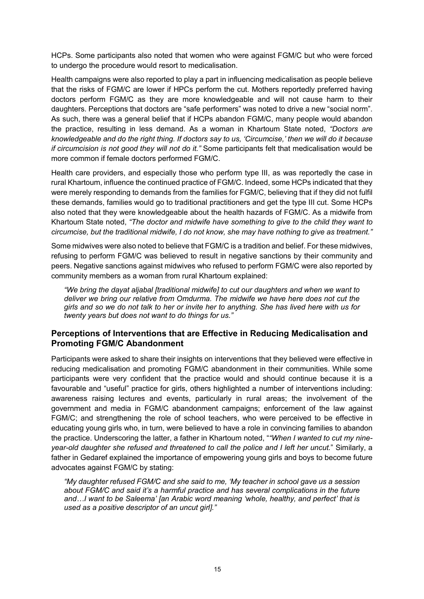HCPs. Some participants also noted that women who were against FGM/C but who were forced to undergo the procedure would resort to medicalisation.

Health campaigns were also reported to play a part in influencing medicalisation as people believe that the risks of FGM/C are lower if HPCs perform the cut. Mothers reportedly preferred having doctors perform FGM/C as they are more knowledgeable and will not cause harm to their daughters. Perceptions that doctors are "safe performers" was noted to drive a new "social norm". As such, there was a general belief that if HCPs abandon FGM/C, many people would abandon the practice, resulting in less demand. As a woman in Khartoum State noted, *"Doctors are knowledgeable and do the right thing. If doctors say to us, 'Circumcise,' then we will do it because if circumcision is not good they will not do it."* Some participants felt that medicalisation would be more common if female doctors performed FGM/C.

Health care providers, and especially those who perform type III, as was reportedly the case in rural Khartoum, influence the continued practice of FGM/C. Indeed, some HCPs indicated that they were merely responding to demands from the families for FGM/C, believing that if they did not fulfil these demands, families would go to traditional practitioners and get the type III cut. Some HCPs also noted that they were knowledgeable about the health hazards of FGM/C. As a midwife from Khartoum State noted, *"The doctor and midwife have something to give to the child they want to circumcise, but the traditional midwife, I do not know, she may have nothing to give as treatment."*

Some midwives were also noted to believe that FGM/C is a tradition and belief. For these midwives, refusing to perform FGM/C was believed to result in negative sanctions by their community and peers. Negative sanctions against midwives who refused to perform FGM/C were also reported by community members as a woman from rural Khartoum explained:

*"We bring the dayat aljabal [traditional midwife] to cut our daughters and when we want to deliver we bring our relative from Omdurma. The midwife we have here does not cut the girls and so we do not talk to her or invite her to anything. She has lived here with us for twenty years but does not want to do things for us."*

#### <span id="page-23-0"></span>**Perceptions of Interventions that are Effective in Reducing Medicalisation and Promoting FGM/C Abandonment**

Participants were asked to share their insights on interventions that they believed were effective in reducing medicalisation and promoting FGM/C abandonment in their communities. While some participants were very confident that the practice would and should continue because it is a favourable and "useful" practice for girls, others highlighted a number of interventions including: awareness raising lectures and events, particularly in rural areas; the involvement of the government and media in FGM/C abandonment campaigns; enforcement of the law against FGM/C; and strengthening the role of school teachers, who were perceived to be effective in educating young girls who, in turn, were believed to have a role in convincing families to abandon the practice. Underscoring the latter, a father in Khartoum noted, "*"When I wanted to cut my nineyear-old daughter she refused and threatened to call the police and I left her uncut.*" Similarly, a father in Gedaref explained the importance of empowering young girls and boys to become future advocates against FGM/C by stating:

*"My daughter refused FGM/C and she said to me, 'My teacher in school gave us a session about FGM/C and said it's a harmful practice and has several complications in the future and…I want to be Saleema' [an Arabic word meaning 'whole, healthy, and perfect' that is used as a positive descriptor of an uncut girl]."*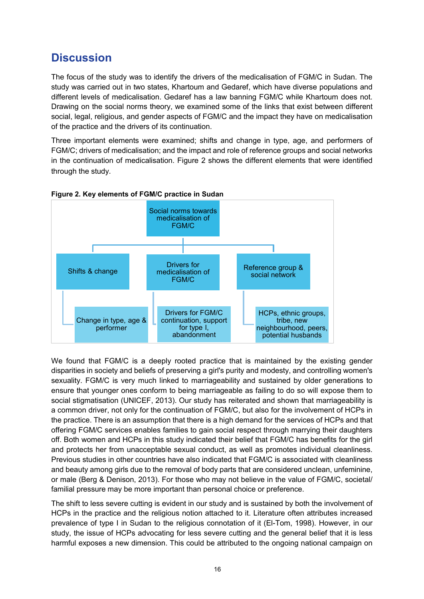# <span id="page-24-0"></span>**Discussion**

The focus of the study was to identify the drivers of the medicalisation of FGM/C in Sudan. The study was carried out in two states, Khartoum and Gedaref, which have diverse populations and different levels of medicalisation. Gedaref has a law banning FGM/C while Khartoum does not. Drawing on the social norms theory, we examined some of the links that exist between different social, legal, religious, and gender aspects of FGM/C and the impact they have on medicalisation of the practice and the drivers of its continuation.

Three important elements were examined; shifts and change in type, age, and performers of FGM/C; drivers of medicalisation; and the impact and role of reference groups and social networks in the continuation of medicalisation. Figure 2 shows the different elements that were identified through the study.



**Figure 2. Key elements of FGM/C practice in Sudan**

We found that FGM/C is a deeply rooted practice that is maintained by the existing gender disparities in society and beliefs of preserving a girl's purity and modesty, and controlling women's sexuality. FGM/C is very much linked to marriageability and sustained by older generations to ensure that younger ones conform to being marriageable as failing to do so will expose them to social stigmatisation (UNICEF, 2013). Our study has reiterated and shown that marriageability is a common driver, not only for the continuation of FGM/C, but also for the involvement of HCPs in the practice. There is an assumption that there is a high demand for the services of HCPs and that offering FGM/C services enables families to gain social respect through marrying their daughters off. Both women and HCPs in this study indicated their belief that FGM/C has benefits for the girl and protects her from unacceptable sexual conduct, as well as promotes individual cleanliness. Previous studies in other countries have also indicated that FGM/C is associated with cleanliness and beauty among girls due to the removal of body parts that are considered unclean, unfeminine, or male (Berg & Denison, 2013). For those who may not believe in the value of FGM/C, societal/ familial pressure may be more important than personal choice or preference.

The shift to less severe cutting is evident in our study and is sustained by both the involvement of HCPs in the practice and the religious notion attached to it. Literature often attributes increased prevalence of type I in Sudan to the religious connotation of it (El-Tom, 1998). However, in our study, the issue of HCPs advocating for less severe cutting and the general belief that it is less harmful exposes a new dimension. This could be attributed to the ongoing national campaign on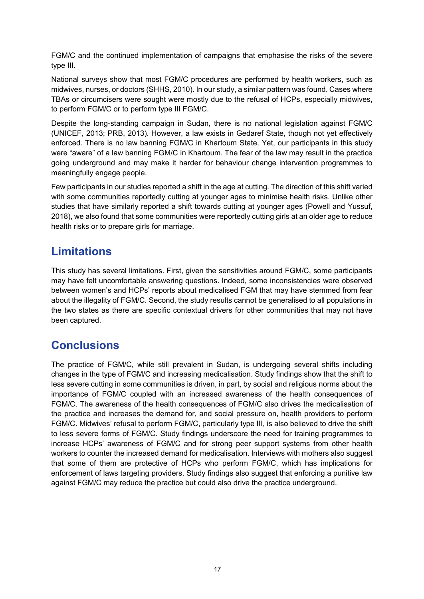FGM/C and the continued implementation of campaigns that emphasise the risks of the severe type III.

National surveys show that most FGM/C procedures are performed by health workers, such as midwives, nurses, or doctors (SHHS, 2010). In our study, a similar pattern was found. Cases where TBAs or circumcisers were sought were mostly due to the refusal of HCPs, especially midwives, to perform FGM/C or to perform type III FGM/C.

Despite the long-standing campaign in Sudan, there is no national legislation against FGM/C (UNICEF, 2013; PRB, 2013). However, a law exists in Gedaref State, though not yet effectively enforced. There is no law banning FGM/C in Khartoum State. Yet, our participants in this study were "aware" of a law banning FGM/C in Khartoum. The fear of the law may result in the practice going underground and may make it harder for behaviour change intervention programmes to meaningfully engage people.

Few participants in our studies reported a shift in the age at cutting. The direction of this shift varied with some communities reportedly cutting at younger ages to minimise health risks. Unlike other studies that have similarly reported a shift towards cutting at younger ages (Powell and Yussuf, 2018), we also found that some communities were reportedly cutting girls at an older age to reduce health risks or to prepare girls for marriage.

# <span id="page-25-0"></span>**Limitations**

This study has several limitations. First, given the sensitivities around FGM/C, some participants may have felt uncomfortable answering questions. Indeed, some inconsistencies were observed between women's and HCPs' reports about medicalised FGM that may have stemmed from fear about the illegality of FGM/C. Second, the study results cannot be generalised to all populations in the two states as there are specific contextual drivers for other communities that may not have been captured.

# <span id="page-25-1"></span>**Conclusions**

The practice of FGM/C, while still prevalent in Sudan, is undergoing several shifts including changes in the type of FGM/C and increasing medicalisation. Study findings show that the shift to less severe cutting in some communities is driven, in part, by social and religious norms about the importance of FGM/C coupled with an increased awareness of the health consequences of FGM/C. The awareness of the health consequences of FGM/C also drives the medicalisation of the practice and increases the demand for, and social pressure on, health providers to perform FGM/C. Midwives' refusal to perform FGM/C, particularly type III, is also believed to drive the shift to less severe forms of FGM/C. Study findings underscore the need for training programmes to increase HCPs' awareness of FGM/C and for strong peer support systems from other health workers to counter the increased demand for medicalisation. Interviews with mothers also suggest that some of them are protective of HCPs who perform FGM/C, which has implications for enforcement of laws targeting providers. Study findings also suggest that enforcing a punitive law against FGM/C may reduce the practice but could also drive the practice underground.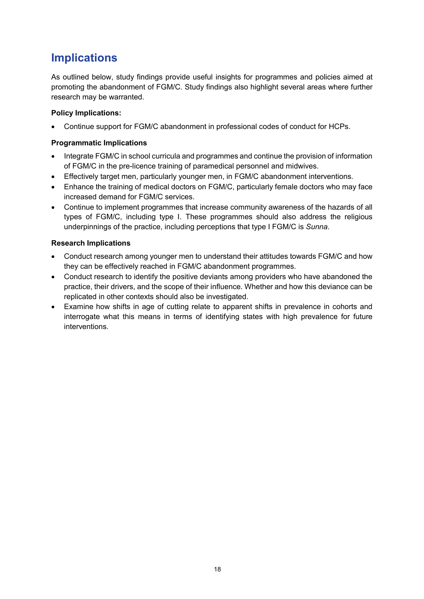# <span id="page-26-0"></span>**Implications**

As outlined below, study findings provide useful insights for programmes and policies aimed at promoting the abandonment of FGM/C. Study findings also highlight several areas where further research may be warranted.

#### **Policy Implications:**

• Continue support for FGM/C abandonment in professional codes of conduct for HCPs.

#### **Programmatic Implications**

- Integrate FGM/C in school curricula and programmes and continue the provision of information of FGM/C in the pre-licence training of paramedical personnel and midwives.
- Effectively target men, particularly younger men, in FGM/C abandonment interventions.
- Enhance the training of medical doctors on FGM/C, particularly female doctors who may face increased demand for FGM/C services.
- Continue to implement programmes that increase community awareness of the hazards of all types of FGM/C, including type I. These programmes should also address the religious underpinnings of the practice, including perceptions that type I FGM/C is *Sunna*.

#### **Research Implications**

- Conduct research among younger men to understand their attitudes towards FGM/C and how they can be effectively reached in FGM/C abandonment programmes.
- Conduct research to identify the positive deviants among providers who have abandoned the practice, their drivers, and the scope of their influence. Whether and how this deviance can be replicated in other contexts should also be investigated.
- Examine how shifts in age of cutting relate to apparent shifts in prevalence in cohorts and interrogate what this means in terms of identifying states with high prevalence for future interventions.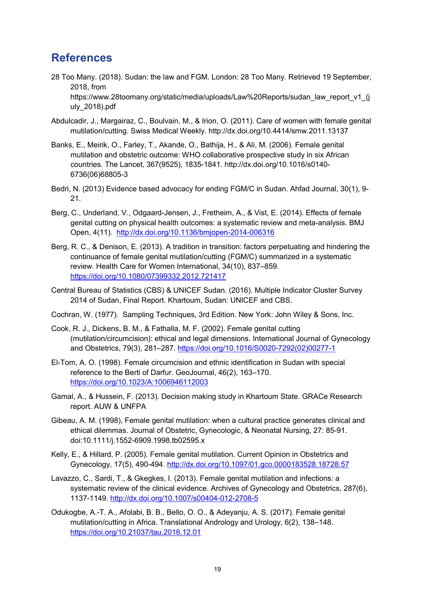# <span id="page-27-0"></span>**References**

- 28 Too Many. (2018). Sudan: the law and FGM. London: 28 Too Many. Retrieved 19 September, 2018, from https://www.28toomany.org/static/media/uploads/Law%20Reports/sudan\_law\_report\_v1\_(j uly\_2018).pdf
- Abdulcadir, J., Margairaz, C., Boulvain, M., & Irion, O. (2011). Care of women with female genital mutilation/cutting. Swiss Medical Weekly.<http://dx.doi.org/10.4414/smw.2011.13137>
- Banks, E., Meirik, O., Farley, T., Akande, O., Bathija, H., & Ali, M. (2006). Female genital mutilation and obstetric outcome: WHO collaborative prospective study in six African countries. The Lancet*,* 367(9525), 1835-1841. [http://dx.doi.org/10.1016/s0140-](http://dx.doi.org/10.1016/s0140-6736(06)68805-3) [6736\(06\)68805-3](http://dx.doi.org/10.1016/s0140-6736(06)68805-3)
- Bedri, N. (2013) Evidence based advocacy for ending FGM/C in Sudan. Ahfad Journal, 30(1), 9- 21.
- Berg, C., Underland, V., Odgaard-Jensen, J., Fretheim, A., & Vist, E. (2014). Effects of female genital cutting on physical health outcomes: a systematic review and meta-analysis. BMJ Open, 4(11). <http://dx.doi.org/10.1136/bmjopen-2014-006316>
- Berg, R. C., & Denison, E. (2013). A tradition in transition: factors perpetuating and hindering the continuance of female genital mutilation/cutting (FGM/C) summarized in a systematic review. Health Care for Women International, 34(10), 837–859. <https://doi.org/10.1080/07399332.2012.721417>
- Central Bureau of Statistics (CBS) & UNICEF Sudan. (2016). Multiple Indicator Cluster Survey 2014 of Sudan, Final Report. Khartoum, Sudan: UNICEF and CBS.
- Cochran, W. (1977). Sampling Techniques, 3rd Edition. New York: John Wiley & Sons, Inc.
- Cook, R. J., Dickens, B. M., & Fathalla, M. F. (2002). Female genital cutting (mutilation/circumcision): ethical and legal dimensions. International Journal of Gynecology and Obstetrics, 79(3), 281–287. [https://doi.org/10.1016/S0020-7292\(02\)00277-1](https://doi.org/10.1016/S0020-7292(02)00277-1)
- El-Tom, A. O. (1998). Female circumcision and ethnic identification in Sudan with special reference to the Berti of Darfur. GeoJournal, 46(2), 163–170. <https://doi.org/10.1023/A:1006946112003>
- Gamal, A., & Hussein, F. (2013). Decision making study in Khartoum State. GRACe Research report. AUW & UNFPA
- Gibeau, A. M. (1998), Female genital mutilation: when a cultural practice generates clinical and ethical dilemmas. Journal of Obstetric, Gynecologic, & Neonatal Nursing, 27: 85-91. doi:10.1111/j.1552-6909.1998.tb02595.x
- Kelly, E., & Hillard, P. (2005). Female genital mutilation. Current Opinion in Obstetrics and Gynecology, 17(5), 490-494.<http://dx.doi.org/10.1097/01.gco.0000183528.18728.57>
- Lavazzo, C., Sardi, T., & Gkegkes, I. (2013). Female genital mutilation and infections: a systematic review of the clinical evidence. Archives of Gynecology and Obstetrics, 287(6), 1137-1149.<http://dx.doi.org/10.1007/s00404-012-2708-5>
- Odukogbe, A.-T. A., Afolabi, B. B., Bello, O. O., & Adeyanju, A. S. (2017). Female genital mutilation/cutting in Africa. Translational Andrology and Urology, 6(2), 138–148. <https://doi.org/10.21037/tau.2016.12.01>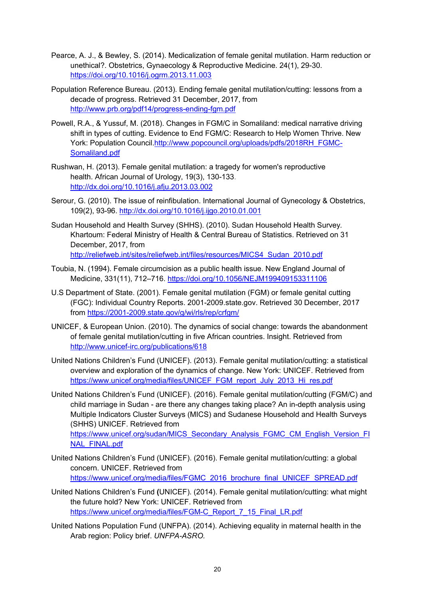- Pearce, A. J., & Bewley, S. (2014). Medicalization of female genital mutilation. Harm reduction or unethical?. Obstetrics, Gynaecology & Reproductive Medicine. 24(1), 29-30. <https://doi.org/10.1016/j.ogrm.2013.11.003>
- Population Reference Bureau. (2013). Ending female genital mutilation/cutting: lessons from a decade of progress. Retrieved 31 December, 2017, from <http://www.prb.org/pdf14/progress-ending-fgm.pdf>
- Powell, R.A., & Yussuf, M. (2018). Changes in FGM/C in Somaliland: medical narrative driving shift in types of cutting. Evidence to End FGM/C: Research to Help Women Thrive. New York: Population Council[.http://www.popcouncil.org/uploads/pdfs/2018RH\\_FGMC-](http://www.popcouncil.org/uploads/pdfs/2018RH_FGMC-Somaliland.pdf)[Somaliland.pdf](http://www.popcouncil.org/uploads/pdfs/2018RH_FGMC-Somaliland.pdf)
- Rushwan, H. (2013). Female genital mutilation: a tragedy for women's reproductive health. African Journal of Urology, 19(3), 130-133. <http://dx.doi.org/10.1016/j.afju.2013.03.002>
- Serour, G. (2010). The issue of reinfibulation. International Journal of Gynecology & Obstetrics, 109(2), 93-96.<http://dx.doi.org/10.1016/j.ijgo.2010.01.001>
- Sudan Household and Health Survey (SHHS). (2010). Sudan Household Health Survey*.* Khartoum: Federal Ministry of Health & Central Bureau of Statistics. Retrieved on 31 December, 2017, from [http://reliefweb.int/sites/reliefweb.int/files/resources/MICS4\\_Sudan\\_2010.pdf](http://reliefweb.int/sites/reliefweb.int/files/resources/MICS4_Sudan_2010.pdf)
- Toubia, N. (1994). Female circumcision as a public health issue. New England Journal of Medicine, 331(11), 712–716.<https://doi.org/10.1056/NEJM199409153311106>
- U.S Department of State. (2001). Female genital mutilation (FGM) or female genital cutting (FGC): Individual Country Reports. 2001-2009.state.gov. Retrieved 30 December, 2017 from<https://2001-2009.state.gov/g/wi/rls/rep/crfgm/>
- UNICEF, & European Union. (2010). The dynamics of social change: towards the abandonment of female genital mutilation/cutting in five African countries. Insight. Retrieved from <http://www.unicef-irc.org/publications/618>
- United Nations Children's Fund (UNICEF). (2013). Female genital mutilation/cutting: a statistical overview and exploration of the dynamics of change. New York: UNICEF. Retrieved from [https://www.unicef.org/media/files/UNICEF\\_FGM\\_report\\_July\\_2013\\_Hi\\_res.pdf](https://www.unicef.org/media/files/UNICEF_FGM_report_July_2013_Hi_res.pdf)
- United Nations Children's Fund (UNICEF). (2016). Female genital mutilation/cutting (FGM/C) and child marriage in Sudan - are there any changes taking place? An in-depth analysis using Multiple Indicators Cluster Surveys (MICS) and Sudanese Household and Health Surveys (SHHS) UNICEF. Retrieved from [https://www.unicef.org/sudan/MICS\\_Secondary\\_Analysis\\_FGMC\\_CM\\_English\\_Version\\_FI](https://www.unicef.org/sudan/MICS_Secondary_Analysis_FGMC_CM_English_Version_FINAL_FINAL.pdf)
- United Nations Children's Fund (UNICEF). (2016). Female genital mutilation/cutting: a global concern. UNICEF. Retrieved from [https://www.unicef.org/media/files/FGMC\\_2016\\_brochure\\_final\\_UNICEF\\_SPREAD.pdf](https://www.unicef.org/media/files/FGMC_2016_brochure_final_UNICEF_SPREAD.pdf)

[NAL\\_FINAL.pdf](https://www.unicef.org/sudan/MICS_Secondary_Analysis_FGMC_CM_English_Version_FINAL_FINAL.pdf)

- United Nations Children's Fund **(**UNICEF). (2014). Female genital mutilation/cutting: what might the future hold? New York: UNICEF. Retrieved from [https://www.unicef.org/media/files/FGM-C\\_Report\\_7\\_15\\_Final\\_LR.pdf](https://www.unicef.org/media/files/FGM-C_Report_7_15_Final_LR.pdf)
- United Nations Population Fund (UNFPA). (2014). Achieving equality in maternal health in the Arab region: Policy brief. *UNFPA-ASRO.*